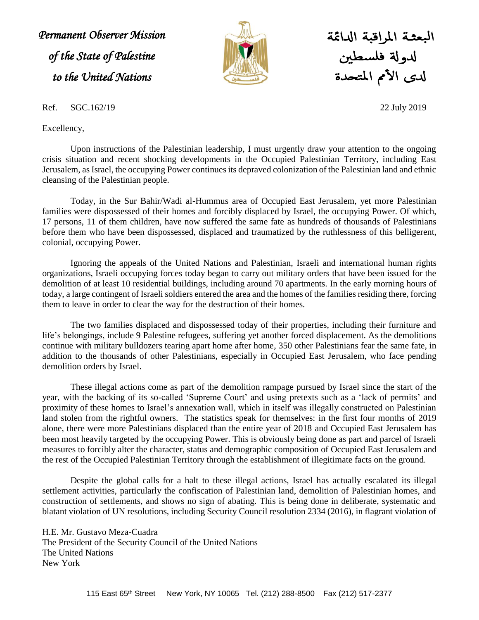*Permanent Observer Mission of the State of Palestine to the United Nations*



البعثـة المراقبة الدائمة لدولة فلسطين لدى الأمم المتحدة

Ref. SGC.162/19 22 July 2019

Excellency,

Upon instructions of the Palestinian leadership, I must urgently draw your attention to the ongoing crisis situation and recent shocking developments in the Occupied Palestinian Territory, including East Jerusalem, as Israel, the occupying Power continues its depraved colonization of the Palestinian land and ethnic cleansing of the Palestinian people.

Today, in the Sur Bahir/Wadi al-Hummus area of Occupied East Jerusalem, yet more Palestinian families were dispossessed of their homes and forcibly displaced by Israel, the occupying Power. Of which, 17 persons, 11 of them children, have now suffered the same fate as hundreds of thousands of Palestinians before them who have been dispossessed, displaced and traumatized by the ruthlessness of this belligerent, colonial, occupying Power.

Ignoring the appeals of the United Nations and Palestinian, Israeli and international human rights organizations, Israeli occupying forces today began to carry out military orders that have been issued for the demolition of at least 10 residential buildings, including around 70 apartments. In the early morning hours of today, a large contingent of Israeli soldiers entered the area and the homes of the families residing there, forcing them to leave in order to clear the way for the destruction of their homes.

The two families displaced and dispossessed today of their properties, including their furniture and life's belongings, include 9 Palestine refugees, suffering yet another forced displacement. As the demolitions continue with military bulldozers tearing apart home after home, 350 other Palestinians fear the same fate, in addition to the thousands of other Palestinians, especially in Occupied East Jerusalem, who face pending demolition orders by Israel.

These illegal actions come as part of the demolition rampage pursued by Israel since the start of the year, with the backing of its so-called 'Supreme Court' and using pretexts such as a 'lack of permits' and proximity of these homes to Israel's annexation wall, which in itself was illegally constructed on Palestinian land stolen from the rightful owners. The statistics speak for themselves: in the first four months of 2019 alone, there were more Palestinians displaced than the entire year of 2018 and Occupied East Jerusalem has been most heavily targeted by the occupying Power. This is obviously being done as part and parcel of Israeli measures to forcibly alter the character, status and demographic composition of Occupied East Jerusalem and the rest of the Occupied Palestinian Territory through the establishment of illegitimate facts on the ground.

Despite the global calls for a halt to these illegal actions, Israel has actually escalated its illegal settlement activities, particularly the confiscation of Palestinian land, demolition of Palestinian homes, and construction of settlements, and shows no sign of abating. This is being done in deliberate, systematic and blatant violation of UN resolutions, including Security Council resolution 2334 (2016), in flagrant violation of

H.E. Mr. Gustavo Meza-Cuadra The President of the Security Council of the United Nations The United Nations New York